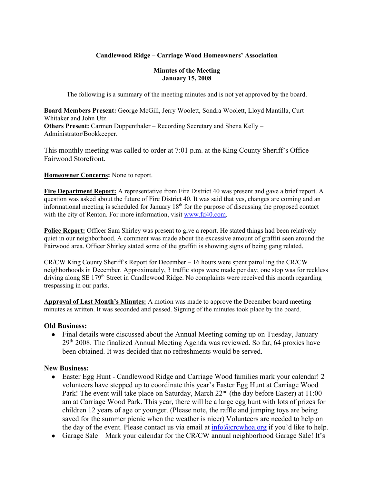## **Candlewood Ridge – Carriage Wood Homeowners' Association**

#### **Minutes of the Meeting January 15, 2008**

The following is a summary of the meeting minutes and is not yet approved by the board.

**Board Members Present:** George McGill, Jerry Woolett, Sondra Woolett, Lloyd Mantilla, Curt Whitaker and John Utz. **Others Present:** Carmen Duppenthaler – Recording Secretary and Shena Kelly – Administrator/Bookkeeper.

This monthly meeting was called to order at 7:01 p.m. at the King County Sheriff's Office – Fairwood Storefront.

#### **Homeowner Concerns:** None to report.

**Fire Department Report:** A representative from Fire District 40 was present and gave a brief report. A question was asked about the future of Fire District 40. It was said that yes, changes are coming and an informational meeting is scheduled for January  $18<sup>th</sup>$  for the purpose of discussing the proposed contact with the city of Renton. For more information, visit www.fd40.com.

**Police Report:** Officer Sam Shirley was present to give a report. He stated things had been relatively quiet in our neighborhood. A comment was made about the excessive amount of graffiti seen around the Fairwood area. Officer Shirley stated some of the graffiti is showing signs of being gang related.

CR/CW King County Sheriff's Report for December – 16 hours were spent patrolling the CR/CW neighborhoods in December. Approximately, 3 traffic stops were made per day; one stop was for reckless driving along SE 179<sup>th</sup> Street in Candlewood Ridge. No complaints were received this month regarding trespassing in our parks.

**Approval of Last Month's Minutes:** A motion was made to approve the December board meeting minutes as written. It was seconded and passed. Signing of the minutes took place by the board.

## **Old Business:**

• Final details were discussed about the Annual Meeting coming up on Tuesday, January  $29<sup>th</sup> 2008$ . The finalized Annual Meeting Agenda was reviewed. So far, 64 proxies have been obtained. It was decided that no refreshments would be served.

## **New Business:**

- Easter Egg Hunt Candlewood Ridge and Carriage Wood families mark your calendar! 2 volunteers have stepped up to coordinate this year's Easter Egg Hunt at Carriage Wood Park! The event will take place on Saturday, March 22<sup>nd</sup> (the day before Easter) at 11:00 am at Carriage Wood Park. This year, there will be a large egg hunt with lots of prizes for children 12 years of age or younger. (Please note, the raffle and jumping toys are being saved for the summer picnic when the weather is nicer) Volunteers are needed to help on the day of the event. Please contact us via email at  $info@crcwboa.org$  if you'd like to help.
- Garage Sale Mark your calendar for the CR/CW annual neighborhood Garage Sale! It's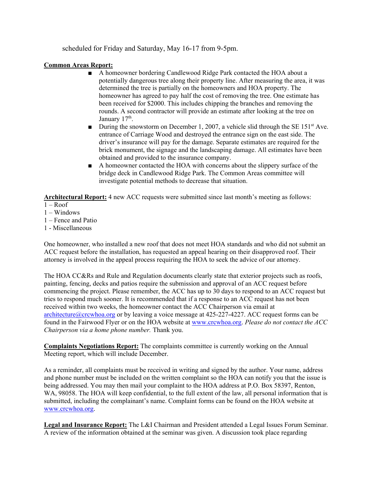scheduled for Friday and Saturday, May 16-17 from 9-5pm.

#### **Common Areas Report:**

- A homeowner bordering Candlewood Ridge Park contacted the HOA about a potentially dangerous tree along their property line. After measuring the area, it was determined the tree is partially on the homeowners and HOA property. The homeowner has agreed to pay half the cost of removing the tree. One estimate has been received for \$2000. This includes chipping the branches and removing the rounds. A second contractor will provide an estimate after looking at the tree on January 17<sup>th</sup>.
- **■** During the snowstorm on December 1, 2007, a vehicle slid through the SE 151<sup>st</sup> Ave. entrance of Carriage Wood and destroyed the entrance sign on the east side. The driver's insurance will pay for the damage. Separate estimates are required for the brick monument, the signage and the landscaping damage. All estimates have been obtained and provided to the insurance company.
- A homeowner contacted the HOA with concerns about the slippery surface of the bridge deck in Candlewood Ridge Park. The Common Areas committee will investigate potential methods to decrease that situation.

Architectural Report: 4 new ACC requests were submitted since last month's meeting as follows:

- $1 -$ Roof
- 1 Windows
- 1 Fence and Patio
- 1 Miscellaneous

One homeowner, who installed a new roof that does not meet HOA standards and who did not submit an ACC request before the installation, has requested an appeal hearing on their disapproved roof. Their attorney is involved in the appeal process requiring the HOA to seek the advice of our attorney.

The HOA CC&Rs and Rule and Regulation documents clearly state that exterior projects such as roofs, painting, fencing, decks and patios require the submission and approval of an ACC request before commencing the project. Please remember, the ACC has up to 30 days to respond to an ACC request but tries to respond much sooner. It is recommended that if a response to an ACC request has not been received within two weeks, the homeowner contact the ACC Chairperson via email at architecture  $@c$ crcwhoa.org or by leaving a voice message at 425-227-4227. ACC request forms can be found in the Fairwood Flyer or on the HOA website at www.crcwhoa.org. *Please do not contact the ACC Chairperson via a home phone number.* Thank you.

**Complaints Negotiations Report:** The complaints committee is currently working on the Annual Meeting report, which will include December.

As a reminder, all complaints must be received in writing and signed by the author. Your name, address and phone number must be included on the written complaint so the HOA can notify you that the issue is being addressed. You may then mail your complaint to the HOA address at P.O. Box 58397, Renton, WA, 98058. The HOA will keep confidential, to the full extent of the law, all personal information that is submitted, including the complainant's name. Complaint forms can be found on the HOA website at www.crcwhoa.org.

**Legal and Insurance Report:** The L&I Chairman and President attended a Legal Issues Forum Seminar. A review of the information obtained at the seminar was given. A discussion took place regarding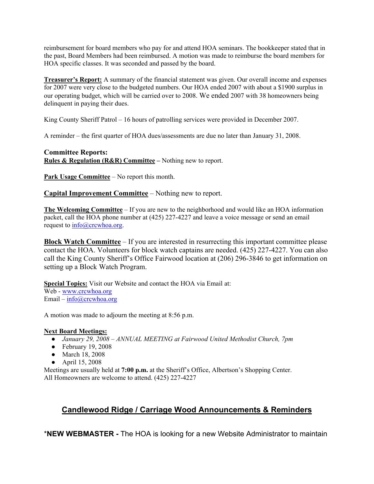reimbursement for board members who pay for and attend HOA seminars. The bookkeeper stated that in the past, Board Members had been reimbursed. A motion was made to reimburse the board members for HOA specific classes. It was seconded and passed by the board.

**Treasurer's Report:** A summary of the financial statement was given. Our overall income and expenses for 2007 were very close to the budgeted numbers. Our HOA ended 2007 with about a \$1900 surplus in our operating budget, which will be carried over to 2008. We ended 2007 with 38 homeowners being delinquent in paying their dues.

King County Sheriff Patrol – 16 hours of patrolling services were provided in December 2007.

A reminder – the first quarter of HOA dues/assessments are due no later than January 31, 2008.

## **Committee Reports: Rules & Regulation (R&R) Committee –** Nothing new to report.

**Park Usage Committee** – No report this month.

**Capital Improvement Committee** – Nothing new to report.

**The Welcoming Committee** – If you are new to the neighborhood and would like an HOA information packet, call the HOA phone number at (425) 227-4227 and leave a voice message or send an email request to  $info@crcwhoa.org$ .

**Block Watch Committee** – If you are interested in resurrecting this important committee please contact the HOA. Volunteers for block watch captains are needed. (425) 227-4227. You can also call the King County Sheriff's Office Fairwood location at (206) 296-3846 to get information on setting up a Block Watch Program.

**Special Topics:** Visit our Website and contact the HOA via Email at: Web - www.crcwhoa.org Email –  $info@crcwhoa.org$ 

A motion was made to adjourn the meeting at 8:56 p.m.

#### **Next Board Meetings:**

- *January 29, 2008 – ANNUAL MEETING at Fairwood United Methodist Church, 7pm*
- $\bullet$  February 19, 2008
- March 18, 2008
- April 15, 2008

Meetings are usually held at **7:00 p.m.** at the Sheriff's Office, Albertson's Shopping Center. All Homeowners are welcome to attend. (425) 227-4227

# **Candlewood Ridge / Carriage Wood Announcements & Reminders**

\***NEW WEBMASTER -** The HOA is looking for a new Website Administrator to maintain